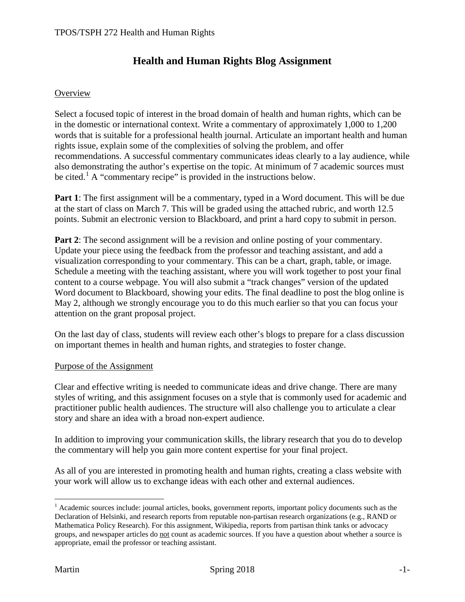# **Health and Human Rights Blog Assignment**

#### **Overview**

Select a focused topic of interest in the broad domain of health and human rights, which can be in the domestic or international context. Write a commentary of approximately 1,000 to 1,200 words that is suitable for a professional health journal. Articulate an important health and human rights issue, explain some of the complexities of solving the problem, and offer recommendations. A successful commentary communicates ideas clearly to a lay audience, while also demonstrating the author's expertise on the topic. At minimum of 7 academic sources must be cited.<sup>[1](#page-0-0)</sup> A "commentary recipe" is provided in the instructions below.

**Part 1**: The first assignment will be a commentary, typed in a Word document. This will be due at the start of class on March 7. This will be graded using the attached rubric, and worth 12.5 points. Submit an electronic version to Blackboard, and print a hard copy to submit in person.

**Part 2**: The second assignment will be a revision and online posting of your commentary. Update your piece using the feedback from the professor and teaching assistant, and add a visualization corresponding to your commentary. This can be a chart, graph, table, or image. Schedule a meeting with the teaching assistant, where you will work together to post your final content to a course webpage. You will also submit a "track changes" version of the updated Word document to Blackboard, showing your edits. The final deadline to post the blog online is May 2, although we strongly encourage you to do this much earlier so that you can focus your attention on the grant proposal project.

On the last day of class, students will review each other's blogs to prepare for a class discussion on important themes in health and human rights, and strategies to foster change.

#### Purpose of the Assignment

Clear and effective writing is needed to communicate ideas and drive change. There are many styles of writing, and this assignment focuses on a style that is commonly used for academic and practitioner public health audiences. The structure will also challenge you to articulate a clear story and share an idea with a broad non-expert audience.

In addition to improving your communication skills, the library research that you do to develop the commentary will help you gain more content expertise for your final project.

As all of you are interested in promoting health and human rights, creating a class website with your work will allow us to exchange ideas with each other and external audiences.

 $\overline{a}$ 

<span id="page-0-0"></span> $<sup>1</sup>$  Academic sources include: journal articles, books, government reports, important policy documents such as the</sup> Declaration of Helsinki, and research reports from reputable non-partisan research organizations (e.g., RAND or Mathematica Policy Research). For this assignment, Wikipedia, reports from partisan think tanks or advocacy groups, and newspaper articles do not count as academic sources. If you have a question about whether a source is appropriate, email the professor or teaching assistant.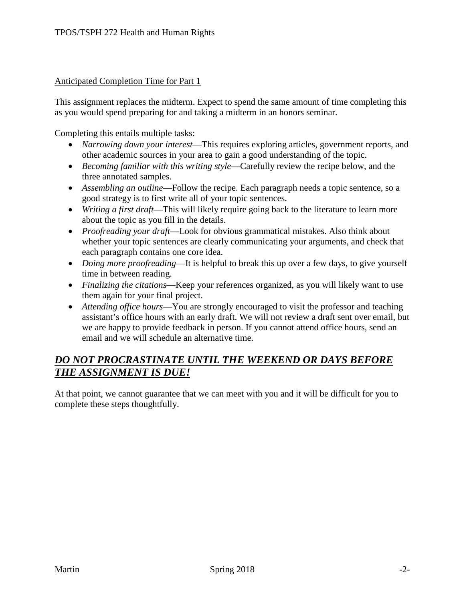#### Anticipated Completion Time for Part 1

This assignment replaces the midterm. Expect to spend the same amount of time completing this as you would spend preparing for and taking a midterm in an honors seminar.

Completing this entails multiple tasks:

- *Narrowing down your interest*—This requires exploring articles, government reports, and other academic sources in your area to gain a good understanding of the topic.
- *Becoming familiar with this writing style*—Carefully review the recipe below, and the three annotated samples.
- *Assembling an outline*—Follow the recipe. Each paragraph needs a topic sentence, so a good strategy is to first write all of your topic sentences.
- *Writing a first draft*—This will likely require going back to the literature to learn more about the topic as you fill in the details.
- *Proofreading your draft*—Look for obvious grammatical mistakes. Also think about whether your topic sentences are clearly communicating your arguments, and check that each paragraph contains one core idea.
- *Doing more proofreading*—It is helpful to break this up over a few days, to give yourself time in between reading.
- *Finalizing the citations*—Keep your references organized, as you will likely want to use them again for your final project.
- *Attending office hours*—You are strongly encouraged to visit the professor and teaching assistant's office hours with an early draft. We will not review a draft sent over email, but we are happy to provide feedback in person. If you cannot attend office hours, send an email and we will schedule an alternative time.

# *DO NOT PROCRASTINATE UNTIL THE WEEKEND OR DAYS BEFORE THE ASSIGNMENT IS DUE!*

At that point, we cannot guarantee that we can meet with you and it will be difficult for you to complete these steps thoughtfully.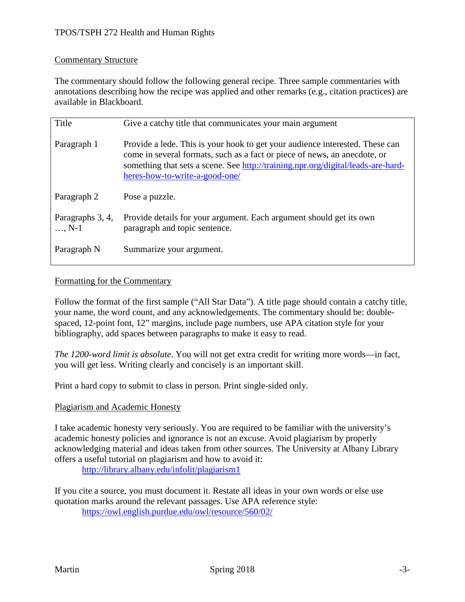### Commentary Structure

The commentary should follow the following general recipe. Three sample commentaries with annotations describing how the recipe was applied and other remarks (e.g., citation practices) are available in Blackboard.

| Title                       | Give a catchy title that communicates your main argument                                                                                                                                                                                                                        |  |  |
|-----------------------------|---------------------------------------------------------------------------------------------------------------------------------------------------------------------------------------------------------------------------------------------------------------------------------|--|--|
| Paragraph 1                 | Provide a lede. This is your hook to get your audience interested. These can<br>come in several formats, such as a fact or piece of news, an anecdote, or<br>something that sets a scene. See http://training.npr.org/digital/leads-are-hard-<br>heres-how-to-write-a-good-one/ |  |  |
| Paragraph 2                 | Pose a puzzle.                                                                                                                                                                                                                                                                  |  |  |
| Paragraphs 3, 4,<br>$, N-1$ | Provide details for your argument. Each argument should get its own<br>paragraph and topic sentence.                                                                                                                                                                            |  |  |
| Paragraph N                 | Summarize your argument.                                                                                                                                                                                                                                                        |  |  |

#### Formatting for the Commentary

Follow the format of the first sample ("All Star Data"). A title page should contain a catchy title, your name, the word count, and any acknowledgements. The commentary should be: doublespaced, 12-point font, 12" margins, include page numbers, use APA citation style for your bibliography, add spaces between paragraphs to make it easy to read.

*The 1200-word limit is absolute*. You will not get extra credit for writing more words—in fact, you will get less. Writing clearly and concisely is an important skill.

Print a hard copy to submit to class in person. Print single-sided only.

### Plagiarism and Academic Honesty

I take academic honesty very seriously. You are required to be familiar with the university's academic honesty policies and ignorance is not an excuse. Avoid plagiarism by properly acknowledging material and ideas taken from other sources. The University at Albany Library offers a useful tutorial on plagiarism and how to avoid it:

<http://library.albany.edu/infolit/plagiarism1>

If you cite a source, you must document it. Restate all ideas in your own words or else use quotation marks around the relevant passages. Use APA reference style: <https://owl.english.purdue.edu/owl/resource/560/02/>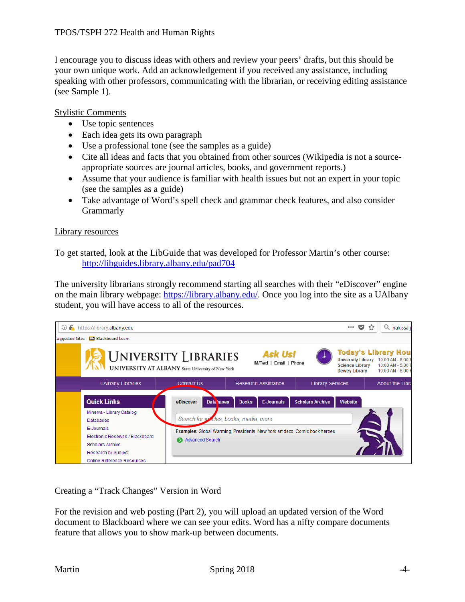I encourage you to discuss ideas with others and review your peers' drafts, but this should be your own unique work. Add an acknowledgement if you received any assistance, including speaking with other professors, communicating with the librarian, or receiving editing assistance (see Sample 1).

#### Stylistic Comments

- Use topic sentences
- Each idea gets its own paragraph
- Use a professional tone (see the samples as a guide)
- Cite all ideas and facts that you obtained from other sources (Wikipedia is not a sourceappropriate sources are journal articles, books, and government reports.)
- Assume that your audience is familiar with health issues but not an expert in your topic (see the samples as a guide)
- Take advantage of Word's spell check and grammar check features, and also consider **Grammarly**

#### Library resources

To get started, look at the LibGuide that was developed for Professor Martin's other course: <http://libguides.library.albany.edu/pad704>

The university librarians strongly recommend starting all searches with their "eDiscover" engine on the main library webpage: [https://library.albany.edu/.](https://library.albany.edu/) Once you log into the site as a UAlbany student, you will have access to all of the resources.



### Creating a "Track Changes" Version in Word

For the revision and web posting (Part 2), you will upload an updated version of the Word document to Blackboard where we can see your edits. Word has a nifty compare documents feature that allows you to show mark-up between documents.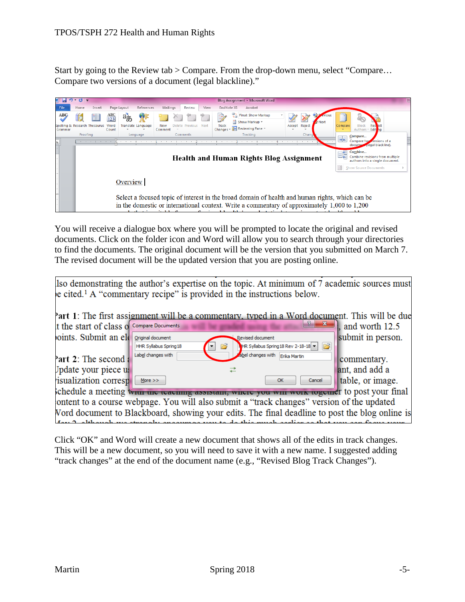Start by going to the Review tab > Compare. From the drop-down menu, select "Compare… Compare two versions of a document (legal blackline)."



You will receive a dialogue box where you will be prompted to locate the original and revised documents. Click on the folder icon and Word will allow you to search through your directories to find the documents. The original document will be the version that you submitted on March 7. The revised document will be the updated version that you are posting online.

|                                                                                                |                        | Iso demonstrating the author's expertise on the topic. At minimum of 7 academic sources must<br>e cited. <sup>1</sup> A "commentary recipe" is provided in the instructions below. |                                     |                          |  |  |  |
|------------------------------------------------------------------------------------------------|------------------------|------------------------------------------------------------------------------------------------------------------------------------------------------------------------------------|-------------------------------------|--------------------------|--|--|--|
| Part 1: The first assignment will be a commentary, typed in a Word document. This will be due  |                        |                                                                                                                                                                                    |                                     |                          |  |  |  |
| It the start of class of Compare Documents                                                     |                        |                                                                                                                                                                                    | $\mathbf{x}$                        | $\vert$ , and worth 12.5 |  |  |  |
| oints. Submit an eld                                                                           | Original document      | <b>Revised document</b>                                                                                                                                                            |                                     | submit in person.        |  |  |  |
|                                                                                                | HHR Syllabus Spring 18 |                                                                                                                                                                                    | HR Syllabus Spring 18 Rev 2-18-18 v |                          |  |  |  |
| Part 2: The second a                                                                           | Label changes with     |                                                                                                                                                                                    | abel changes with Erika Martin      | commentary.              |  |  |  |
| Jpdate your piece us                                                                           |                        |                                                                                                                                                                                    |                                     | ant, and add a           |  |  |  |
| isualization corresp                                                                           | More $>>$              |                                                                                                                                                                                    | OK<br>Cancel                        | table, or image.         |  |  |  |
| chedule a meeting with the teaching assistant, where you will work to get to post your final   |                        |                                                                                                                                                                                    |                                     |                          |  |  |  |
| ontent to a course webpage. You will also submit a "track changes" version of the updated      |                        |                                                                                                                                                                                    |                                     |                          |  |  |  |
| Vord document to Blackboard, showing your edits. The final deadline to post the blog online is |                        |                                                                                                                                                                                    |                                     |                          |  |  |  |
| Level although me strongly angourage you to do this much goulian as that you go from your      |                        |                                                                                                                                                                                    |                                     |                          |  |  |  |

Click "OK" and Word will create a new document that shows all of the edits in track changes. This will be a new document, so you will need to save it with a new name. I suggested adding "track changes" at the end of the document name (e.g., "Revised Blog Track Changes").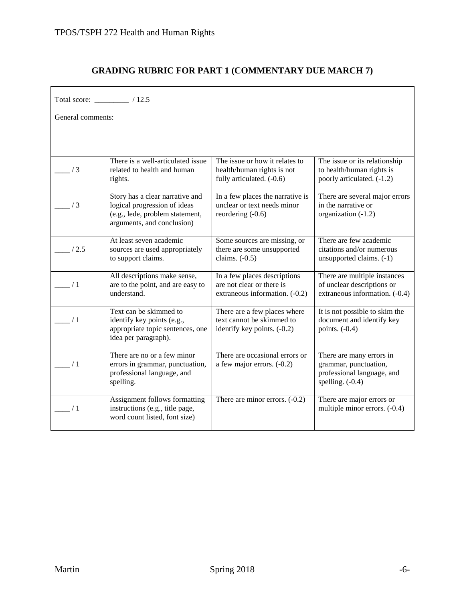## **GRADING RUBRIC FOR PART 1 (COMMENTARY DUE MARCH 7)**

| Total score: _________ / 12.5 |                                                                                                                                  |                                                                                             |                                                                                                       |  |  |  |
|-------------------------------|----------------------------------------------------------------------------------------------------------------------------------|---------------------------------------------------------------------------------------------|-------------------------------------------------------------------------------------------------------|--|--|--|
| General comments:             |                                                                                                                                  |                                                                                             |                                                                                                       |  |  |  |
|                               |                                                                                                                                  |                                                                                             |                                                                                                       |  |  |  |
| $\frac{1}{3}$                 | There is a well-articulated issue<br>related to health and human<br>rights.                                                      | The issue or how it relates to<br>health/human rights is not<br>fully articulated. (-0.6)   | The issue or its relationship<br>to health/human rights is<br>poorly articulated. (-1.2)              |  |  |  |
| $\frac{1}{3}$                 | Story has a clear narrative and<br>logical progression of ideas<br>(e.g., lede, problem statement,<br>arguments, and conclusion) | In a few places the narrative is<br>unclear or text needs minor<br>reordering $(-0.6)$      | There are several major errors<br>in the narrative or<br>organization (-1.2)                          |  |  |  |
| /2.5                          | At least seven academic<br>sources are used appropriately<br>to support claims.                                                  | Some sources are missing, or<br>there are some unsupported<br>claims. $(-0.5)$              | There are few academic<br>citations and/or numerous<br>unsupported claims. (-1)                       |  |  |  |
| $\sqrt{1}$                    | All descriptions make sense,<br>are to the point, and are easy to<br>understand.                                                 | In a few places descriptions<br>are not clear or there is<br>extraneous information. (-0.2) | There are multiple instances<br>of unclear descriptions or<br>extraneous information. (-0.4)          |  |  |  |
| $\frac{1}{1}$                 | Text can be skimmed to<br>identify key points (e.g.,<br>appropriate topic sentences, one<br>idea per paragraph).                 | There are a few places where<br>text cannot be skimmed to<br>identify key points. (-0.2)    | It is not possible to skim the<br>document and identify key<br>points. $(-0.4)$                       |  |  |  |
| $\frac{1}{1}$                 | There are no or a few minor<br>errors in grammar, punctuation,<br>professional language, and<br>spelling.                        | There are occasional errors or<br>a few major errors. $(-0.2)$                              | There are many errors in<br>grammar, punctuation,<br>professional language, and<br>spelling. $(-0.4)$ |  |  |  |
| $\frac{1}{1}$                 | Assignment follows formatting<br>instructions (e.g., title page,<br>word count listed, font size)                                | There are minor errors. $(-0.2)$                                                            | There are major errors or<br>multiple minor errors. (-0.4)                                            |  |  |  |